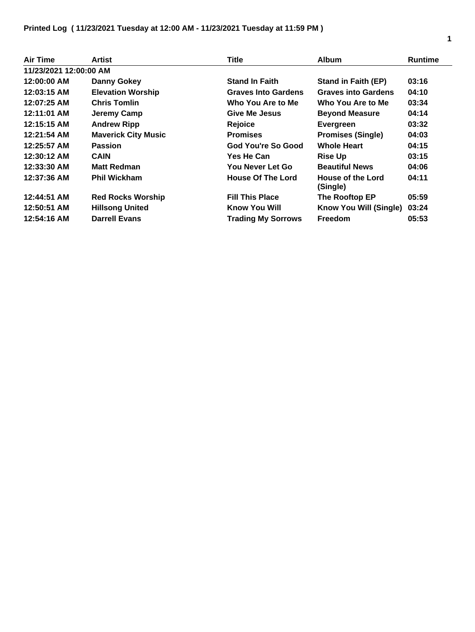| Air Time               | Artist                     | <b>Title</b>               | <b>Album</b>                  | <b>Runtime</b> |
|------------------------|----------------------------|----------------------------|-------------------------------|----------------|
| 11/23/2021 12:00:00 AM |                            |                            |                               |                |
| 12:00:00 AM            | <b>Danny Gokey</b>         | <b>Stand In Faith</b>      | <b>Stand in Faith (EP)</b>    | 03:16          |
| 12:03:15 AM            | <b>Elevation Worship</b>   | <b>Graves Into Gardens</b> | <b>Graves into Gardens</b>    | 04:10          |
| 12:07:25 AM            | <b>Chris Tomlin</b>        | Who You Are to Me          | Who You Are to Me             | 03:34          |
| 12:11:01 AM            | Jeremy Camp                | Give Me Jesus              | <b>Beyond Measure</b>         | 04:14          |
| 12:15:15 AM            | <b>Andrew Ripp</b>         | Rejoice                    | <b>Evergreen</b>              | 03:32          |
| 12:21:54 AM            | <b>Maverick City Music</b> | <b>Promises</b>            | <b>Promises (Single)</b>      | 04:03          |
| 12:25:57 AM            | <b>Passion</b>             | God You're So Good         | <b>Whole Heart</b>            | 04:15          |
| 12:30:12 AM            | <b>CAIN</b>                | <b>Yes He Can</b>          | <b>Rise Up</b>                | 03:15          |
| 12:33:30 AM            | <b>Matt Redman</b>         | You Never Let Go           | <b>Beautiful News</b>         | 04:06          |
| 12:37:36 AM            | <b>Phil Wickham</b>        | <b>House Of The Lord</b>   | House of the Lord<br>(Single) | 04:11          |
| 12:44:51 AM            | <b>Red Rocks Worship</b>   | <b>Fill This Place</b>     | The Rooftop EP                | 05:59          |
| 12:50:51 AM            | <b>Hillsong United</b>     | Know You Will              | Know You Will (Single)        | 03:24          |
| 12:54:16 AM            | <b>Darrell Evans</b>       | <b>Trading My Sorrows</b>  | <b>Freedom</b>                | 05:53          |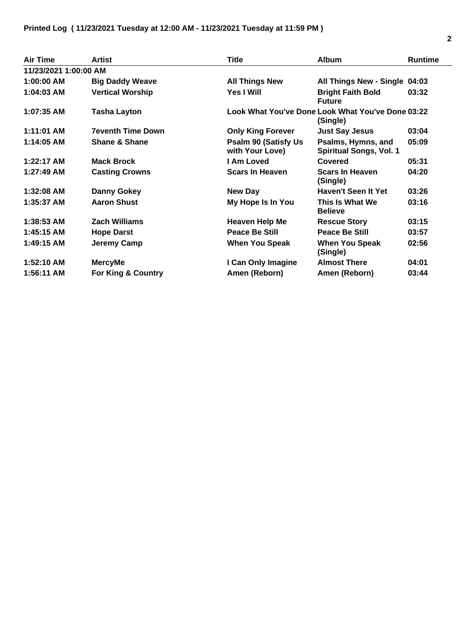| Air Time              | Artist                   | <b>Title</b>                                    | <b>Album</b>                                                  | <b>Runtime</b> |
|-----------------------|--------------------------|-------------------------------------------------|---------------------------------------------------------------|----------------|
| 11/23/2021 1:00:00 AM |                          |                                                 |                                                               |                |
| 1:00:00 AM            | <b>Big Daddy Weave</b>   | <b>All Things New</b>                           | All Things New - Single 04:03                                 |                |
| 1:04:03 AM            | <b>Vertical Worship</b>  | Yes I Will                                      | <b>Bright Faith Bold</b><br><b>Future</b>                     | 03:32          |
| 1:07:35 AM            | <b>Tasha Layton</b>      |                                                 | Look What You've Done Look What You've Done 03:22<br>(Single) |                |
| 1:11:01 AM            | <b>7eventh Time Down</b> | <b>Only King Forever</b>                        | <b>Just Say Jesus</b>                                         | 03:04          |
| 1:14:05 AM            | <b>Shane &amp; Shane</b> | <b>Psalm 90 (Satisfy Us)</b><br>with Your Love) | Psalms, Hymns, and<br><b>Spiritual Songs, Vol. 1</b>          | 05:09          |
| 1:22:17 AM            | <b>Mack Brock</b>        | I Am Loved                                      | <b>Covered</b>                                                | 05:31          |
| 1:27:49 AM            | <b>Casting Crowns</b>    | <b>Scars In Heaven</b>                          | <b>Scars In Heaven</b><br>(Single)                            | 04:20          |
| 1:32:08 AM            | <b>Danny Gokey</b>       | New Day                                         | Haven't Seen It Yet                                           | 03:26          |
| 1:35:37 AM            | <b>Aaron Shust</b>       | My Hope Is In You                               | This Is What We<br><b>Believe</b>                             | 03:16          |
| 1:38:53 AM            | <b>Zach Williams</b>     | <b>Heaven Help Me</b>                           | <b>Rescue Story</b>                                           | 03:15          |
| 1:45:15 AM            | <b>Hope Darst</b>        | <b>Peace Be Still</b>                           | <b>Peace Be Still</b>                                         | 03:57          |
| 1:49:15 AM            | Jeremy Camp              | <b>When You Speak</b>                           | <b>When You Speak</b><br>(Single)                             | 02:56          |
| $1:52:10$ AM          | <b>MercyMe</b>           | I Can Only Imagine                              | <b>Almost There</b>                                           | 04:01          |
| 1:56:11 AM            | For King & Country       | Amen (Reborn)                                   | Amen (Reborn)                                                 | 03:44          |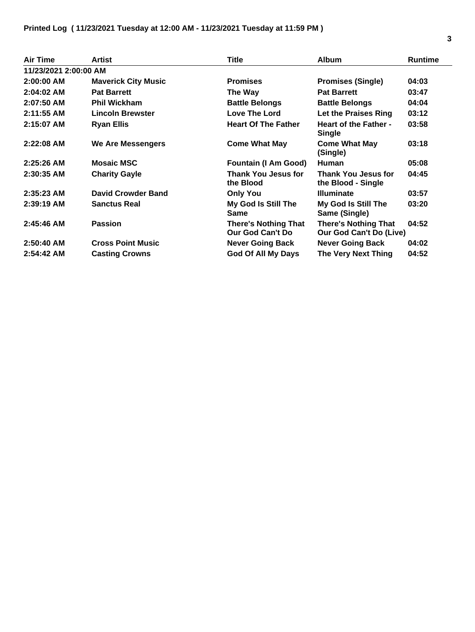| <b>Air Time</b>        | Artist                     | <b>Title</b>                                    | <b>Album</b>                                           | <b>Runtime</b> |  |
|------------------------|----------------------------|-------------------------------------------------|--------------------------------------------------------|----------------|--|
| 11/23/2021 2:00:00 AM  |                            |                                                 |                                                        |                |  |
| $2:00:00$ AM           | <b>Maverick City Music</b> | <b>Promises</b>                                 | <b>Promises (Single)</b>                               | 04:03          |  |
| $2:04:02$ AM           | <b>Pat Barrett</b>         | The Way                                         | <b>Pat Barrett</b>                                     | 03:47          |  |
| 2:07:50 AM             | <b>Phil Wickham</b>        | <b>Battle Belongs</b>                           | <b>Battle Belongs</b>                                  | 04:04          |  |
| $2:11:55$ AM           | <b>Lincoln Brewster</b>    | Love The Lord                                   | Let the Praises Ring                                   | 03:12          |  |
| 2:15:07 AM             | <b>Ryan Ellis</b>          | <b>Heart Of The Father</b>                      | <b>Heart of the Father -</b><br><b>Single</b>          | 03:58          |  |
| $2:22:08$ AM           | <b>We Are Messengers</b>   | <b>Come What May</b>                            | <b>Come What May</b><br>(Single)                       | 03:18          |  |
| $2:25:26$ AM           | <b>Mosaic MSC</b>          | <b>Fountain (I Am Good)</b>                     | <b>Human</b>                                           | 05:08          |  |
| 2:30:35 AM             | <b>Charity Gayle</b>       | Thank You Jesus for<br>the Blood                | <b>Thank You Jesus for</b><br>the Blood - Single       | 04:45          |  |
| $2:35:23$ AM           | <b>David Crowder Band</b>  | <b>Only You</b>                                 | <b>Illuminate</b>                                      | 03:57          |  |
| $2:39:19$ AM           | <b>Sanctus Real</b>        | My God Is Still The<br><b>Same</b>              | My God Is Still The<br>Same (Single)                   | 03:20          |  |
| $2:45:46$ AM           | <b>Passion</b>             | <b>There's Nothing That</b><br>Our God Can't Do | <b>There's Nothing That</b><br>Our God Can't Do (Live) | 04:52          |  |
| 2:50:40 AM             | <b>Cross Point Music</b>   | <b>Never Going Back</b>                         | <b>Never Going Back</b>                                | 04:02          |  |
| $2:54:42 \, \text{AM}$ | <b>Casting Crowns</b>      | <b>God Of All My Days</b>                       | The Very Next Thing                                    | 04:52          |  |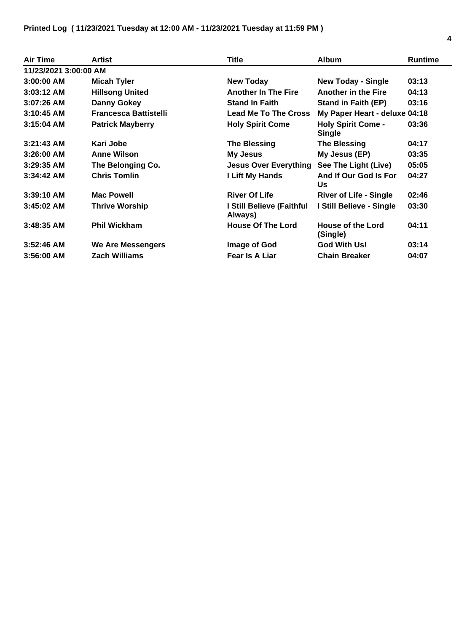| <b>Air Time</b>       | <b>Artist</b>                | Title                                | <b>Album</b>                               | <b>Runtime</b> |
|-----------------------|------------------------------|--------------------------------------|--------------------------------------------|----------------|
| 11/23/2021 3:00:00 AM |                              |                                      |                                            |                |
| $3:00:00$ AM          | <b>Micah Tyler</b>           | <b>New Today</b>                     | <b>New Today - Single</b>                  | 03:13          |
| $3:03:12$ AM          | <b>Hillsong United</b>       | <b>Another In The Fire</b>           | <b>Another in the Fire</b>                 | 04:13          |
| $3:07:26$ AM          | <b>Danny Gokey</b>           | <b>Stand In Faith</b>                | <b>Stand in Faith (EP)</b>                 | 03:16          |
| $3:10:45$ AM          | <b>Francesca Battistelli</b> | <b>Lead Me To The Cross</b>          | My Paper Heart - deluxe 04:18              |                |
| $3:15:04$ AM          | <b>Patrick Mayberry</b>      | <b>Holy Spirit Come</b>              | <b>Holy Spirit Come -</b><br><b>Single</b> | 03:36          |
| $3:21:43$ AM          | Kari Jobe                    | <b>The Blessing</b>                  | The Blessing                               | 04:17          |
| $3:26:00$ AM          | <b>Anne Wilson</b>           | My Jesus                             | My Jesus (EP)                              | 03:35          |
| $3:29:35$ AM          | The Belonging Co.            | <b>Jesus Over Everything</b>         | See The Light (Live)                       | 05:05          |
| $3:34:42$ AM          | <b>Chris Tomlin</b>          | I Lift My Hands                      | And If Our God Is For<br>Us                | 04:27          |
| $3:39:10$ AM          | <b>Mac Powell</b>            | <b>River Of Life</b>                 | <b>River of Life - Single</b>              | 02:46          |
| $3:45:02$ AM          | <b>Thrive Worship</b>        | I Still Believe (Faithful<br>Always) | I Still Believe - Single                   | 03:30          |
| $3:48:35$ AM          | <b>Phil Wickham</b>          | <b>House Of The Lord</b>             | <b>House of the Lord</b><br>(Single)       | 04:11          |
| $3:52:46$ AM          | <b>We Are Messengers</b>     | Image of God                         | <b>God With Us!</b>                        | 03:14          |
| $3:56:00$ AM          | <b>Zach Williams</b>         | Fear Is A Liar                       | <b>Chain Breaker</b>                       | 04:07          |

 $\overline{\phantom{0}}$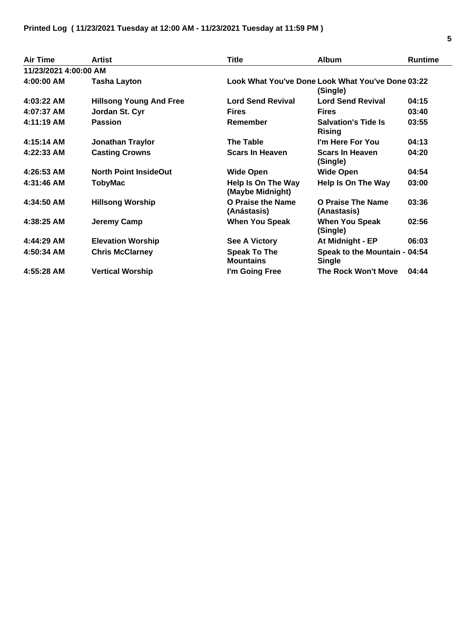| <b>Air Time</b>       | <b>Artist</b>                  | <b>Title</b>                                  | <b>Album</b>                                                  | <b>Runtime</b> |
|-----------------------|--------------------------------|-----------------------------------------------|---------------------------------------------------------------|----------------|
| 11/23/2021 4:00:00 AM |                                |                                               |                                                               |                |
| 4:00:00 AM            | <b>Tasha Layton</b>            |                                               | Look What You've Done Look What You've Done 03:22<br>(Single) |                |
| 4:03:22 AM            | <b>Hillsong Young And Free</b> | <b>Lord Send Revival</b>                      | <b>Lord Send Revival</b>                                      | 04:15          |
| 4:07:37 AM            | Jordan St. Cyr                 | <b>Fires</b>                                  | <b>Fires</b>                                                  | 03:40          |
| 4:11:19 AM            | <b>Passion</b>                 | Remember                                      | <b>Salvation's Tide Is</b><br><b>Rising</b>                   | 03:55          |
| 4:15:14 AM            | Jonathan Traylor               | <b>The Table</b>                              | I'm Here For You                                              | 04:13          |
| 4:22:33 AM            | <b>Casting Crowns</b>          | <b>Scars In Heaven</b>                        | <b>Scars In Heaven</b><br>(Single)                            | 04:20          |
| 4:26:53 AM            | <b>North Point InsideOut</b>   | <b>Wide Open</b>                              | Wide Open                                                     | 04:54          |
| 4:31:46 AM            | <b>TobyMac</b>                 | <b>Help Is On The Way</b><br>(Maybe Midnight) | Help Is On The Way                                            | 03:00          |
| 4:34:50 AM            | <b>Hillsong Worship</b>        | O Praise the Name<br>(Anástasis)              | O Praise The Name<br>(Anastasis)                              | 03:36          |
| 4:38:25 AM            | Jeremy Camp                    | <b>When You Speak</b>                         | <b>When You Speak</b><br>(Single)                             | 02:56          |
| 4:44:29 AM            | <b>Elevation Worship</b>       | <b>See A Victory</b>                          | At Midnight - EP                                              | 06:03          |
| 4:50:34 AM            | <b>Chris McClarney</b>         | <b>Speak To The</b><br><b>Mountains</b>       | Speak to the Mountain - 04:54<br><b>Single</b>                |                |
| 4:55:28 AM            | <b>Vertical Worship</b>        | I'm Going Free                                | <b>The Rock Won't Move</b>                                    | 04:44          |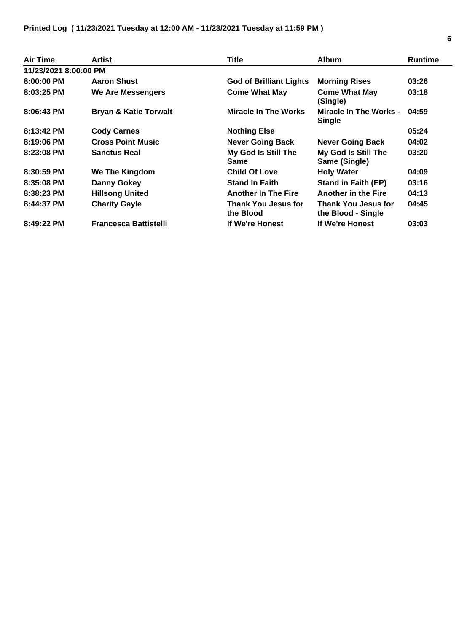| Air Time              | Artist                           | <b>Title</b>                            | <b>Album</b>                              | <b>Runtime</b> |
|-----------------------|----------------------------------|-----------------------------------------|-------------------------------------------|----------------|
| 11/23/2021 8:00:00 PM |                                  |                                         |                                           |                |
| $8:00:00$ PM          | <b>Aaron Shust</b>               | <b>God of Brilliant Lights</b>          | <b>Morning Rises</b>                      | 03:26          |
| $8:03:25$ PM          | We Are Messengers                | <b>Come What May</b>                    | <b>Come What May</b><br>(Single)          | 03:18          |
| $8:06:43$ PM          | <b>Bryan &amp; Katie Torwalt</b> | <b>Miracle In The Works</b>             | Miracle In The Works -<br><b>Single</b>   | 04:59          |
| 8:13:42 PM            | <b>Cody Carnes</b>               | <b>Nothing Else</b>                     |                                           | 05:24          |
| 8:19:06 PM            | <b>Cross Point Music</b>         | <b>Never Going Back</b>                 | <b>Never Going Back</b>                   | 04:02          |
| 8:23:08 PM            | <b>Sanctus Real</b>              | My God Is Still The<br><b>Same</b>      | My God Is Still The<br>Same (Single)      | 03:20          |
| 8:30:59 PM            | <b>We The Kingdom</b>            | <b>Child Of Love</b>                    | <b>Holy Water</b>                         | 04:09          |
| $8:35:08$ PM          | Danny Gokey                      | <b>Stand In Faith</b>                   | <b>Stand in Faith (EP)</b>                | 03:16          |
| 8:38:23 PM            | <b>Hillsong United</b>           | <b>Another In The Fire</b>              | <b>Another in the Fire</b>                | 04:13          |
| 8:44:37 PM            | <b>Charity Gayle</b>             | <b>Thank You Jesus for</b><br>the Blood | Thank You Jesus for<br>the Blood - Single | 04:45          |
| 8:49:22 PM            | <b>Francesca Battistelli</b>     | If We're Honest                         | If We're Honest                           | 03:03          |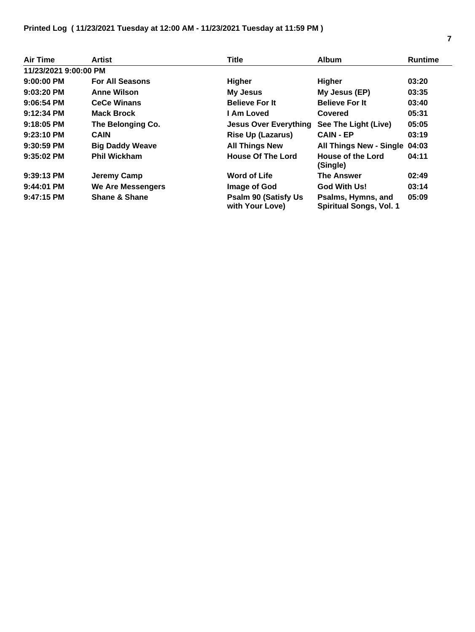| <b>Air Time</b>       | Artist                   | <b>Title</b>                                    | <b>Album</b>                                         | <b>Runtime</b> |
|-----------------------|--------------------------|-------------------------------------------------|------------------------------------------------------|----------------|
| 11/23/2021 9:00:00 PM |                          |                                                 |                                                      |                |
| $9:00:00$ PM          | <b>For All Seasons</b>   | <b>Higher</b>                                   | Higher                                               | 03:20          |
| 9:03:20 PM            | <b>Anne Wilson</b>       | My Jesus                                        | My Jesus (EP)                                        | 03:35          |
| $9:06:54$ PM          | <b>CeCe Winans</b>       | <b>Believe For It</b>                           | <b>Believe For It</b>                                | 03:40          |
| 9:12:34 PM            | <b>Mack Brock</b>        | I Am Loved                                      | Covered                                              | 05:31          |
| $9:18:05$ PM          | The Belonging Co.        | <b>Jesus Over Everything</b>                    | See The Light (Live)                                 | 05:05          |
| $9:23:10$ PM          | <b>CAIN</b>              | <b>Rise Up (Lazarus)</b>                        | <b>CAIN - EP</b>                                     | 03:19          |
| $9:30:59$ PM          | <b>Big Daddy Weave</b>   | <b>All Things New</b>                           | All Things New - Single 04:03                        |                |
| $9:35:02$ PM          | <b>Phil Wickham</b>      | <b>House Of The Lord</b>                        | House of the Lord<br>(Single)                        | 04:11          |
| 9:39:13 PM            | Jeremy Camp              | <b>Word of Life</b>                             | <b>The Answer</b>                                    | 02:49          |
| 9:44:01 PM            | We Are Messengers        | Image of God                                    | God With Us!                                         | 03:14          |
| $9:47:15$ PM          | <b>Shane &amp; Shane</b> | <b>Psalm 90 (Satisfy Us)</b><br>with Your Love) | Psalms, Hymns, and<br><b>Spiritual Songs, Vol. 1</b> | 05:09          |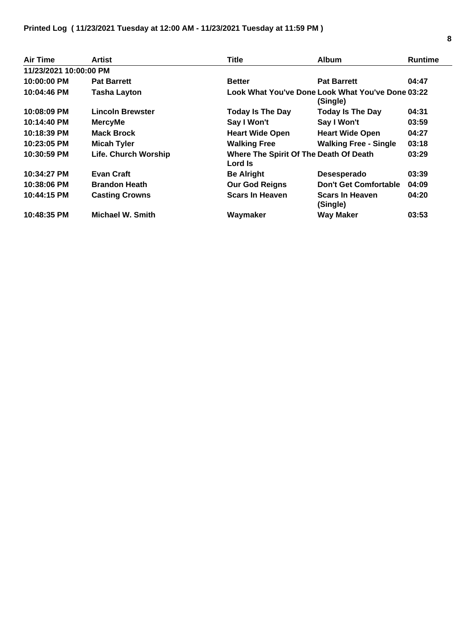| <b>Air Time</b>        | Artist                  | <b>Title</b>                                      | <b>Album</b>                                                  | <b>Runtime</b> |
|------------------------|-------------------------|---------------------------------------------------|---------------------------------------------------------------|----------------|
| 11/23/2021 10:00:00 PM |                         |                                                   |                                                               |                |
| 10:00:00 PM            | <b>Pat Barrett</b>      | <b>Better</b>                                     | <b>Pat Barrett</b>                                            | 04:47          |
| 10:04:46 PM            | <b>Tasha Layton</b>     |                                                   | Look What You've Done Look What You've Done 03:22<br>(Single) |                |
| 10:08:09 PM            | <b>Lincoln Brewster</b> | <b>Today Is The Day</b>                           | <b>Today Is The Day</b>                                       | 04:31          |
| 10:14:40 PM            | <b>MercyMe</b>          | Say I Won't                                       | Say I Won't                                                   | 03:59          |
| 10:18:39 PM            | <b>Mack Brock</b>       | <b>Heart Wide Open</b>                            | <b>Heart Wide Open</b>                                        | 04:27          |
| 10:23:05 PM            | <b>Micah Tyler</b>      | <b>Walking Free</b>                               | <b>Walking Free - Single</b>                                  | 03:18          |
| 10:30:59 PM            | Life. Church Worship    | Where The Spirit Of The Death Of Death<br>Lord Is |                                                               | 03:29          |
| 10:34:27 PM            | <b>Evan Craft</b>       | <b>Be Alright</b>                                 | Desesperado                                                   | 03:39          |
| 10:38:06 PM            | <b>Brandon Heath</b>    | <b>Our God Reigns</b>                             | <b>Don't Get Comfortable</b>                                  | 04:09          |
| 10:44:15 PM            | <b>Casting Crowns</b>   | <b>Scars In Heaven</b>                            | <b>Scars In Heaven</b><br>(Single)                            | 04:20          |
| 10:48:35 PM            | <b>Michael W. Smith</b> | Waymaker                                          | <b>Way Maker</b>                                              | 03:53          |